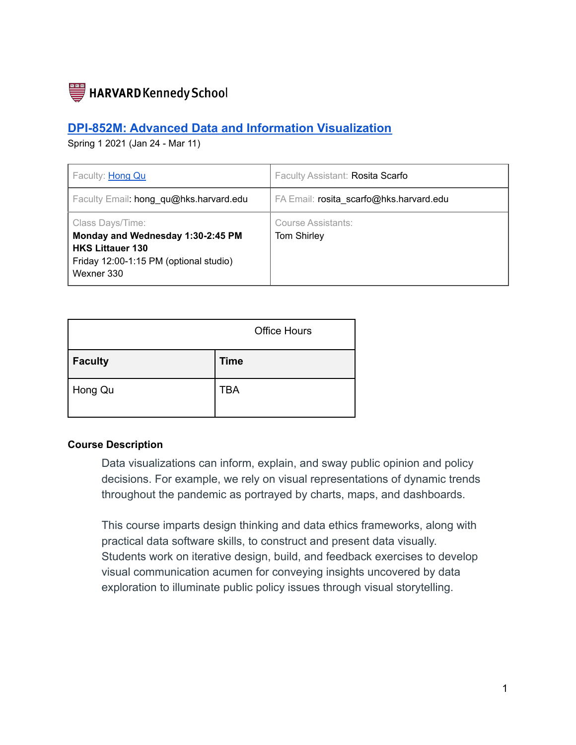

## **DPI-852M: Advanced Data and Information [Visualization](https://www.hks.harvard.edu/courses/advanced-data-and-information-visualization)**

Spring 1 2021 (Jan 24 - Mar 11)

| Faculty: Hong Qu                                                                                                                         | Faculty Assistant: Rosita Scarfo         |
|------------------------------------------------------------------------------------------------------------------------------------------|------------------------------------------|
| Faculty Email: hong qu@hks.harvard.edu                                                                                                   | FA Email: rosita scarfo@hks.harvard.edu  |
| Class Days/Time:<br>Monday and Wednesday 1:30-2:45 PM<br><b>HKS Littauer 130</b><br>Friday 12:00-1:15 PM (optional studio)<br>Wexner 330 | Course Assistants:<br><b>Tom Shirley</b> |

|                | <b>Office Hours</b> |
|----------------|---------------------|
| <b>Faculty</b> | <b>Time</b>         |
| Hong Qu        | <b>TBA</b>          |

#### **Course Description**

Data visualizations can inform, explain, and sway public opinion and policy decisions. For example, we rely on visual representations of dynamic trends throughout the pandemic as portrayed by charts, maps, and dashboards.

This course imparts design thinking and data ethics frameworks, along with practical data software skills, to construct and present data visually. Students work on iterative design, build, and feedback exercises to develop visual communication acumen for conveying insights uncovered by data exploration to illuminate public policy issues through visual storytelling.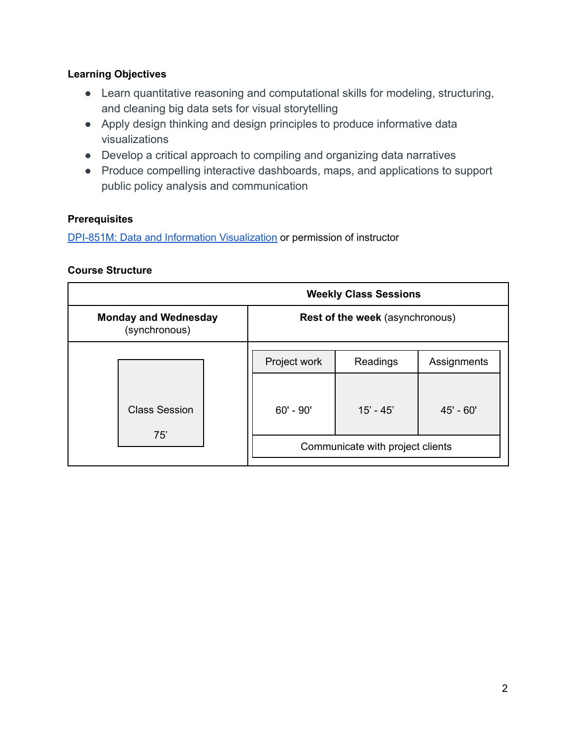## **Learning Objectives**

- Learn quantitative reasoning and computational skills for modeling, structuring, and cleaning big data sets for visual storytelling
- Apply design thinking and design principles to produce informative data visualizations
- Develop a critical approach to compiling and organizing data narratives
- Produce compelling interactive dashboards, maps, and applications to support public policy analysis and communication

## **Prerequisites**

DPI-851M: Data and Information [Visualization](https://www.hks.harvard.edu/courses/data-and-information-visualization) or permission of instructor

## **Course Structure**

|                                              |                                        | <b>Weekly Class Sessions</b> |             |  |  |
|----------------------------------------------|----------------------------------------|------------------------------|-------------|--|--|
| <b>Monday and Wednesday</b><br>(synchronous) | <b>Rest of the week (asynchronous)</b> |                              |             |  |  |
|                                              | Project work                           | Readings                     | Assignments |  |  |
| <b>Class Session</b>                         | $60'$ - $90'$                          | $15' - 45'$                  | 45' - 60'   |  |  |
| 75'                                          | Communicate with project clients       |                              |             |  |  |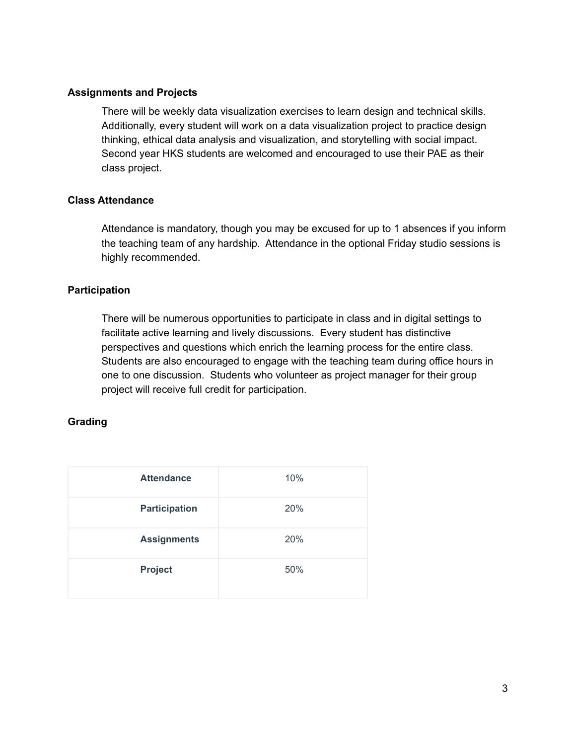#### **Assignments and Projects**

There will be weekly data visualization exercises to learn design and technical skills. Additionally, every student will work on a data visualization project to practice design thinking, ethical data analysis and visualization, and storytelling with social impact. Second year HKS students are welcomed and encouraged to use their PAE as their class project.

#### **Class Attendance**

Attendance is mandatory, though you may be excused for up to 1 absences if you inform the teaching team of any hardship. Attendance in the optional Friday studio sessions is highly recommended.

#### **Participation**

There will be numerous opportunities to participate in class and in digital settings to facilitate active learning and lively discussions. Every student has distinctive perspectives and questions which enrich the learning process for the entire class. Students are also encouraged to engage with the teaching team during office hours in one to one discussion. Students who volunteer as project manager for their group project will receive full credit for participation.

## **Grading**

| <b>Attendance</b>    | 10% |
|----------------------|-----|
| <b>Participation</b> | 20% |
| <b>Assignments</b>   | 20% |
| Project              | 50% |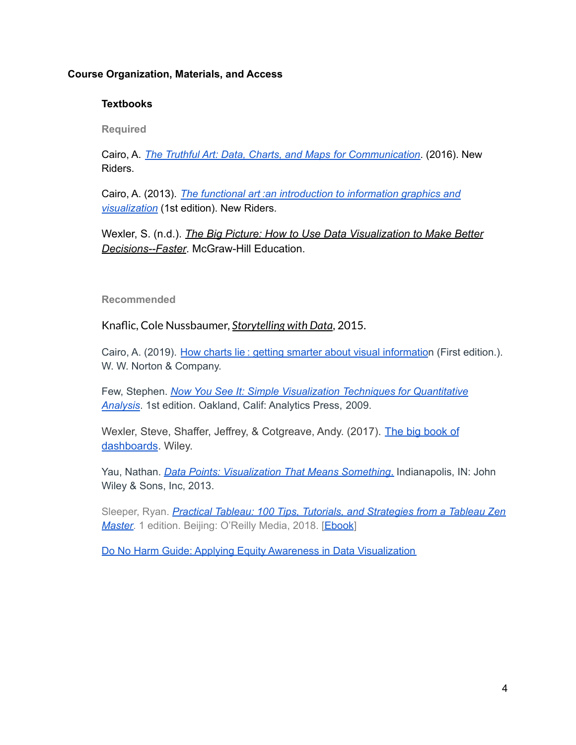#### **Course Organization, Materials, and Access**

#### **Textbooks**

**Required**

Cairo, A. *The Truthful Art: Data, Charts, and Maps for [Communication](https://learning-oreilly-com.ezp-prod1.hul.harvard.edu/library/view/the-truthful-art/9780133440492/)*. (2016). New Riders.

Cairo, A. (2013). *The functional art :an [introduction](https://learning-oreilly-com.ezp-prod1.hul.harvard.edu/library/view/the-functional-art/9780133041187/) to information graphics and [visualization](https://learning-oreilly-com.ezp-prod1.hul.harvard.edu/library/view/the-functional-art/9780133041187/)* (1st edition). New Riders.

Wexler, S. (n.d.). *The Big Picture: How to Use Data [Visualization](https://hollis.harvard.edu/primo-explore/fulldisplay?docid=01HVD_ALMA512503153680003941&context=L&vid=HVD2&lang=en_US&search_scope=everything&adaptor=Local%20Search%20Engine&tab=everything&query=any,contains,The%20Big%20Picture:%20How%20to%20Use%20Data%20Visualization%20to%20Make%20Better%20Decisions%E2%80%94Faster&offset=0) to Make Better [Decisions--Faster](https://hollis.harvard.edu/primo-explore/fulldisplay?docid=01HVD_ALMA512503153680003941&context=L&vid=HVD2&lang=en_US&search_scope=everything&adaptor=Local%20Search%20Engine&tab=everything&query=any,contains,The%20Big%20Picture:%20How%20to%20Use%20Data%20Visualization%20to%20Make%20Better%20Decisions%E2%80%94Faster&offset=0)*. McGraw-Hill Education.

#### **Recommended**

Knaflic, Cole Nussbaumer, *[Storytelling](https://learning-oreilly-com.ezp-prod1.hul.harvard.edu/library/view/storytelling-with-data/9781119002253/f_07.xhtml) with Data*, 2015.

Cairo, A. (2019). How charts lie: getting smarter about visual [informatio](https://hollis.harvard.edu/primo-explore/fulldisplay?docid=01HVD_ALMA212321618670003941&context=L&vid=HVD2&lang=en_US&search_scope=default_scope&adaptor=Local%20Search%20Engine&tab=books&query=any,contains,How%20Charts%20Lie:%20Getting%20Smarter%20about%20Visual%20Information&offset=0)n (First edition.). W. W. Norton & Company.

Few, Stephen. *Now You See It: Simple [Visualization](https://hollis.harvard.edu/primo-explore/fulldisplay?docid=01HVD_ALMA212132020860003941&context=L&vid=HVD2&lang=en_US&search_scope=default_scope&adaptor=Local%20Search%20Engine&tab=books&query=any,contains,stephen%20few&offset=0) Techniques for Quantitative [Analysis](https://hollis.harvard.edu/primo-explore/fulldisplay?docid=01HVD_ALMA212132020860003941&context=L&vid=HVD2&lang=en_US&search_scope=default_scope&adaptor=Local%20Search%20Engine&tab=books&query=any,contains,stephen%20few&offset=0)*. 1st edition. Oakland, Calif: Analytics Press, 2009.

Wexler, Steve, Shaffer, Jeffrey, & Cotgreave, Andy. (2017). The big [book](https://hollis.harvard.edu/primo-explore/fulldisplay?docid=TN_cdi_globaltitleindex_catalog_128644377&context=PC&vid=HVD2&lang=en_US&search_scope=everything&adaptor=primo_central_multiple_fe&tab=everything&query=any,contains,The%20Big%20Book%20of%20Dashboards&offset=0) of [dashboards](https://hollis.harvard.edu/primo-explore/fulldisplay?docid=TN_cdi_globaltitleindex_catalog_128644377&context=PC&vid=HVD2&lang=en_US&search_scope=everything&adaptor=primo_central_multiple_fe&tab=everything&query=any,contains,The%20Big%20Book%20of%20Dashboards&offset=0). Wiley.

Yau, Nathan. *Data Points: [Visualization](https://hollis.harvard.edu/primo-explore/fulldisplay?docid=01HVD_ALMA512227480720003941&context=L&vid=HVD2&lang=en_US&search_scope=default_scope&adaptor=Local%20Search%20Engine&tab=books&query=any,contains,data%20points,%20nathan%20yau&offset=0) That Means Something*. Indianapolis, IN: John Wiley & Sons, Inc, 2013.

Sleeper, Ryan. *Practical Tableau: 100 Tips, Tutorials, and [Strategies](https://hollis.harvard.edu/primo-explore/fulldisplay?docid=TN_sbo_s1_9781491977309&context=PC&vid=HVD2&lang=en_US&search_scope=everything&adaptor=primo_central_multiple_fe&tab=everything&query=any,contains,practical%20tableau&offset=0) from a Tableau Zen [Master](https://hollis.harvard.edu/primo-explore/fulldisplay?docid=TN_sbo_s1_9781491977309&context=PC&vid=HVD2&lang=en_US&search_scope=everything&adaptor=primo_central_multiple_fe&tab=everything&query=any,contains,practical%20tableau&offset=0)*. 1 edition. Beijing: O'Reilly Media, 2018. [\[Ebook](https://learning-oreilly-com.ezp-prod1.hul.harvard.edu/library/view/practical-tableau/9781491977309/ch01.html)]

Do No Harm Guide: Applying Equity Awareness in Data [Visualization](https://www.urban.org/research/publication/do-no-harm-guide-applying-equity-awareness-data-visualization)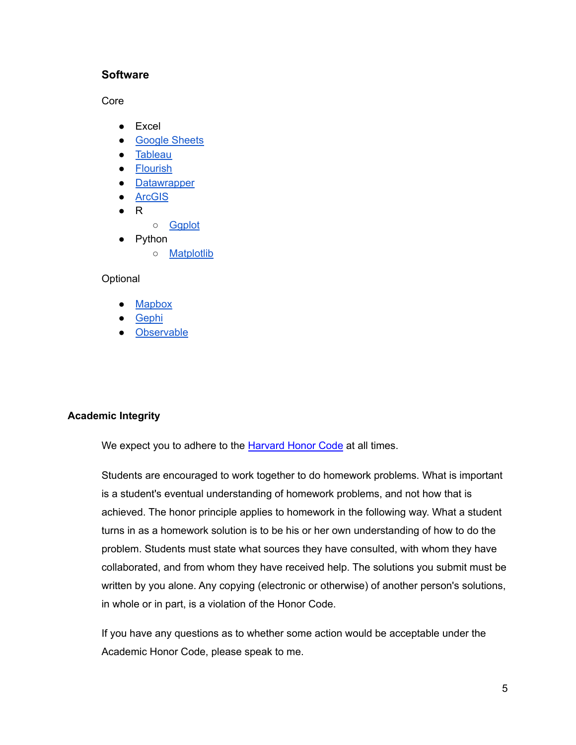#### **Software**

Core

- Excel
- [Google](https://www.google.com/sheets) Sheets
- [Tableau](https://www.tableau.com/)
- [Flourish](https://flourish.studio/)
- [Datawrapper](https://www.datawrapper.de/)
- [ArcGIS](https://storymaps.arcgis.com/)
- R
	- [Ggplot](https://ggplot2.tidyverse.org/reference/ggplot.html)
- Python
	- [Matplotlib](https://matplotlib.org/)

#### **Optional**

- **[Mapbox](https://www.mapbox.com/maps)**
- **[Gephi](https://gephi.org/)**
- [Observable](https://observablehq.com/)

#### **Academic Integrity**

We expect you to adhere to the **[Harvard](http://honor.fas.harvard.edu/honor-code) Honor Code** at all times.

Students are encouraged to work together to do homework problems. What is important is a student's eventual understanding of homework problems, and not how that is achieved. The honor principle applies to homework in the following way. What a student turns in as a homework solution is to be his or her own understanding of how to do the problem. Students must state what sources they have consulted, with whom they have collaborated, and from whom they have received help. The solutions you submit must be written by you alone. Any copying (electronic or otherwise) of another person's solutions, in whole or in part, is a violation of the Honor Code.

If you have any questions as to whether some action would be acceptable under the Academic Honor Code, please speak to me.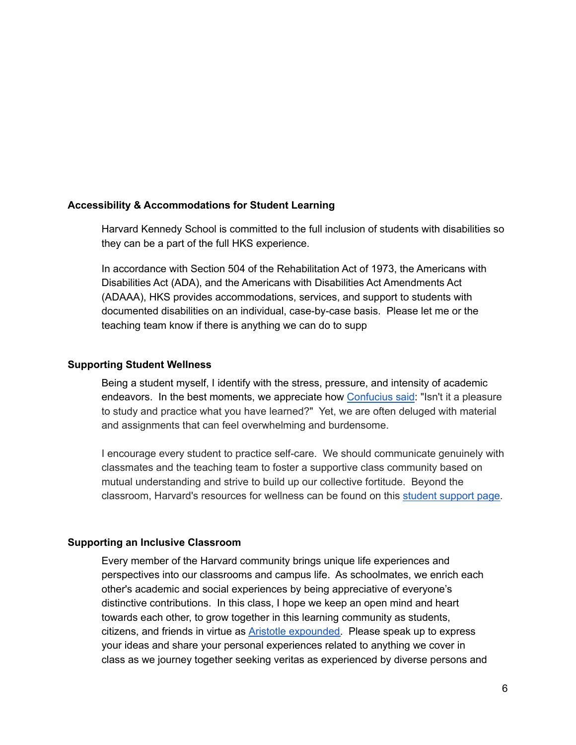#### **Accessibility & Accommodations for Student Learning**

Harvard Kennedy School is committed to the full inclusion of students with disabilities so they can be a part of the full HKS experience.

In accordance with Section 504 of the Rehabilitation Act of 1973, the Americans with Disabilities Act (ADA), and the Americans with Disabilities Act Amendments Act (ADAAA), HKS provides accommodations, services, and support to students with documented disabilities on an individual, case-by-case basis. Please let me or the teaching team know if there is anything we can do to supp

#### **Supporting Student Wellness**

Being a student myself, I identify with the stress, pressure, and intensity of academic endeavors. In the best moments, we appreciate how [Confucius](https://en.wikiquote.org/wiki/Confucius#Chapter_I) said: "Isn't it a pleasure to study and practice what you have learned?" Yet, we are often deluged with material and assignments that can feel overwhelming and burdensome.

I encourage every student to practice self-care. We should communicate genuinely with classmates and the teaching team to foster a supportive class community based on mutual understanding and strive to build up our collective fortitude. Beyond the classroom, Harvard's resources for wellness can be found on this student [support](https://knet.hks.harvard.edu/DPSA/DeanofStudents/Pages/Support.aspx) page.

#### **Supporting an Inclusive Classroom**

Every member of the Harvard community brings unique life experiences and perspectives into our classrooms and campus life. As schoolmates, we enrich each other's academic and social experiences by being appreciative of everyone's distinctive contributions. In this class, I hope we keep an open mind and heart towards each other, to grow together in this learning community as students, citizens, and friends in virtue as **Aristotle expounded**. Please speak up to express your ideas and share your personal experiences related to anything we cover in class as we journey together seeking veritas as experienced by diverse persons and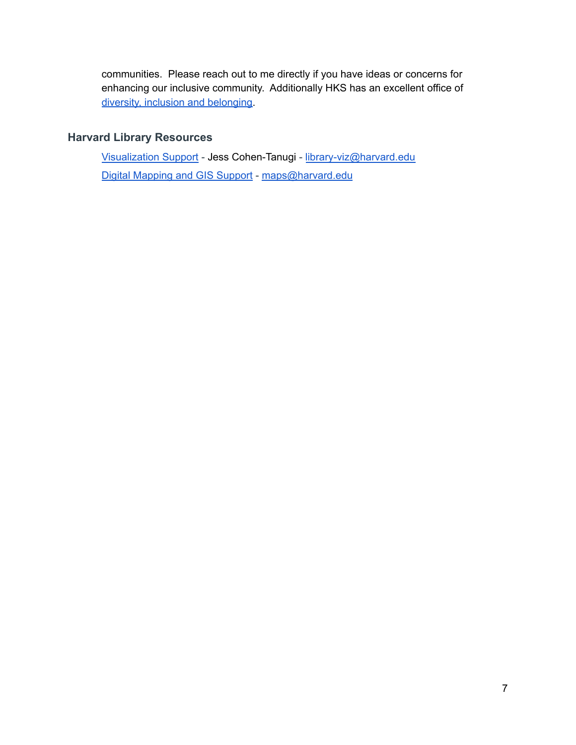communities. Please reach out to me directly if you have ideas or concerns for enhancing our inclusive community. Additionally HKS has an excellent office of diversity, inclusion and [belonging.](https://www.hks.harvard.edu/more/about/diversity-inclusion-and-belonging)

## **Harvard Library Resources**

[Visualization](https://library.harvard.edu/services-tools/visualization-support) Support - Jess Cohen-Tanugi - [library-viz@harvard.edu](mailto:library-viz@harvard.edu) Digital [Mapping](https://library.harvard.edu/services-tools/digital-mapping-and-gis-support) and GIS Support - [maps@harvard.edu](mailto:maps@harvard.edu)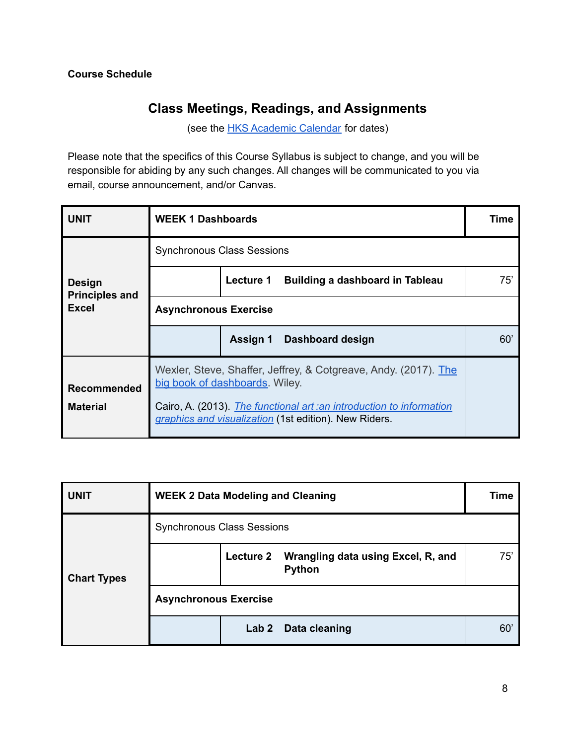# **Class Meetings, Readings, and Assignments**

(see the **HKS [Academic](https://www.hks.harvard.edu/educational-programs/academic-calendars-policies/academic-calendar-2021-2022) Calendar** for dates)

Please note that the specifics of this Course Syllabus is subject to change, and you will be responsible for abiding by any such changes. All changes will be communicated to you via email, course announcement, and/or Canvas.

| <b>UNIT</b>                            | <b>WEEK 1 Dashboards</b>                                                                                                                                                                                                            |                                              | Time |  |  |
|----------------------------------------|-------------------------------------------------------------------------------------------------------------------------------------------------------------------------------------------------------------------------------------|----------------------------------------------|------|--|--|
|                                        |                                                                                                                                                                                                                                     | <b>Synchronous Class Sessions</b>            |      |  |  |
| <b>Design</b><br><b>Principles and</b> |                                                                                                                                                                                                                                     | Lecture 1<br>Building a dashboard in Tableau | 75'  |  |  |
| <b>Excel</b>                           |                                                                                                                                                                                                                                     | <b>Asynchronous Exercise</b>                 |      |  |  |
|                                        |                                                                                                                                                                                                                                     | <b>Assign 1</b><br>Dashboard design          | 60'  |  |  |
| <b>Recommended</b><br><b>Material</b>  | Wexler, Steve, Shaffer, Jeffrey, & Cotgreave, Andy. (2017). The<br>big book of dashboards. Wiley.<br>Cairo, A. (2013). The functional art : an introduction to information<br>graphics and visualization (1st edition). New Riders. |                                              |      |  |  |

| <b>UNIT</b>        | <b>WEEK 2 Data Modeling and Cleaning</b> |                  |                                                     | Time |
|--------------------|------------------------------------------|------------------|-----------------------------------------------------|------|
|                    | <b>Synchronous Class Sessions</b>        |                  |                                                     |      |
| <b>Chart Types</b> |                                          | <b>Lecture 2</b> | Wrangling data using Excel, R, and<br><b>Python</b> | 75'  |
|                    | <b>Asynchronous Exercise</b>             |                  |                                                     |      |
|                    |                                          | Lab <sub>2</sub> | Data cleaning                                       | 60   |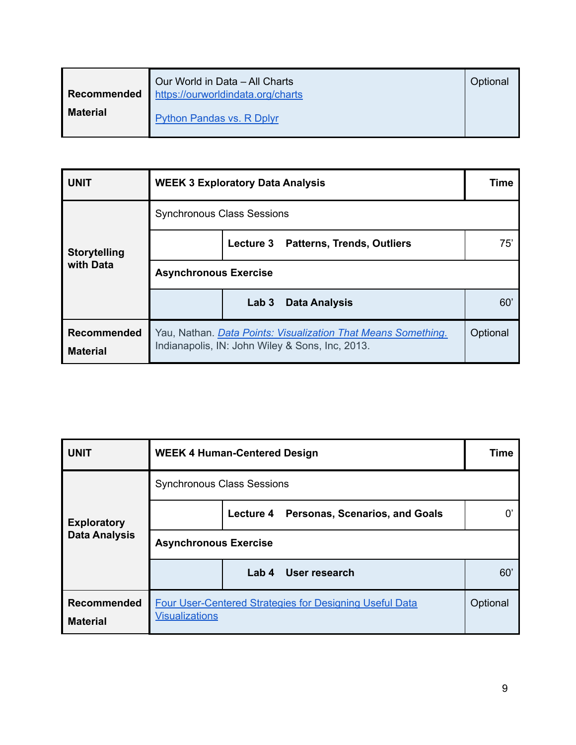| Recommended     | Our World in Data - All Charts<br>https://ourworldindata.org/charts | Optional |  |
|-----------------|---------------------------------------------------------------------|----------|--|
| <b>Material</b> | Python Pandas vs. R Dplyr                                           |          |  |

| <b>UNIT</b>                           | <b>WEEK 3 Exploratory Data Analysis</b>                                                                          | Time                                     |          |  |
|---------------------------------------|------------------------------------------------------------------------------------------------------------------|------------------------------------------|----------|--|
|                                       | <b>Synchronous Class Sessions</b><br>Lecture 3 Patterns, Trends, Outliers                                        |                                          |          |  |
| <b>Storytelling</b>                   |                                                                                                                  |                                          |          |  |
| with Data                             | <b>Asynchronous Exercise</b>                                                                                     |                                          |          |  |
|                                       |                                                                                                                  | Lab <sub>3</sub><br><b>Data Analysis</b> | 60'      |  |
| <b>Recommended</b><br><b>Material</b> | Yau, Nathan. Data Points: Visualization That Means Something.<br>Indianapolis, IN: John Wiley & Sons, Inc, 2013. |                                          | Optional |  |

| <b>UNIT</b>                           | <b>WEEK 4 Human-Centered Design</b>      | <b>Time</b>                                                    |          |
|---------------------------------------|------------------------------------------|----------------------------------------------------------------|----------|
|                                       | <b>Synchronous Class Sessions</b>        |                                                                |          |
| <b>Exploratory</b>                    | Lecture 4 Personas, Scenarios, and Goals |                                                                |          |
| <b>Data Analysis</b>                  | <b>Asynchronous Exercise</b>             |                                                                |          |
|                                       |                                          | User research<br>Lab <sub>4</sub>                              | 60       |
| <b>Recommended</b><br><b>Material</b> | <b>Visualizations</b>                    | <b>Four User-Centered Strategies for Designing Useful Data</b> | Optional |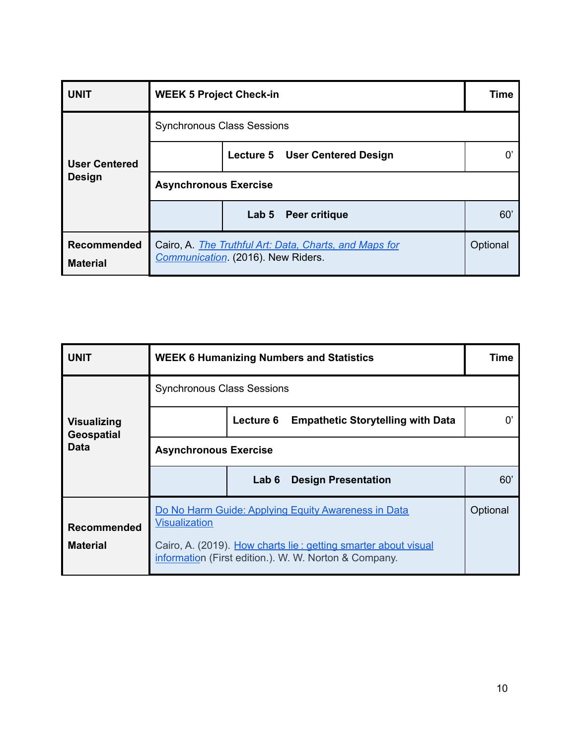| <b>UNIT</b>                           | <b>WEEK 5 Project Check-in</b>                                                              |                                       | Time     |
|---------------------------------------|---------------------------------------------------------------------------------------------|---------------------------------------|----------|
|                                       | <b>Synchronous Class Sessions</b>                                                           |                                       |          |
| <b>User Centered</b><br><b>Design</b> |                                                                                             | <b>Lecture 5 User Centered Design</b> |          |
|                                       | <b>Asynchronous Exercise</b>                                                                |                                       |          |
|                                       |                                                                                             | Lab 5 Peer critique                   | 60'      |
| <b>Recommended</b><br><b>Material</b> | Cairo, A. The Truthful Art: Data, Charts, and Maps for<br>Communication (2016). New Riders. |                                       | Optional |

| <b>UNIT</b>                             |                                                                                                                                                                                                        | <b>WEEK 6 Humanizing Numbers and Statistics</b>       |                            |     |  |  |
|-----------------------------------------|--------------------------------------------------------------------------------------------------------------------------------------------------------------------------------------------------------|-------------------------------------------------------|----------------------------|-----|--|--|
|                                         | <b>Synchronous Class Sessions</b>                                                                                                                                                                      |                                                       |                            |     |  |  |
| <b>Visualizing</b><br><b>Geospatial</b> |                                                                                                                                                                                                        | Lecture 6<br><b>Empathetic Storytelling with Data</b> |                            |     |  |  |
| Data                                    | <b>Asynchronous Exercise</b>                                                                                                                                                                           |                                                       |                            |     |  |  |
|                                         |                                                                                                                                                                                                        | Lab 6                                                 | <b>Design Presentation</b> | 60' |  |  |
| <b>Recommended</b>                      | Do No Harm Guide: Applying Equity Awareness in Data<br><b>Visualization</b><br>Cairo, A. (2019). How charts lie: getting smarter about visual<br>information (First edition.). W. W. Norton & Company. |                                                       |                            |     |  |  |
| <b>Material</b>                         |                                                                                                                                                                                                        |                                                       |                            |     |  |  |